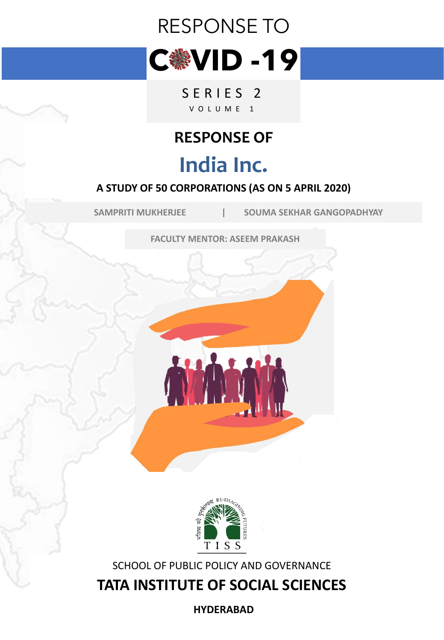# RESPONSE TO



SERIES<sub>2</sub> V O L U M E 1

# **RESPONSE OF**

# **India Inc.**

#### **A STUDY OF 50 CORPORATIONS (AS ON 5 APRIL 2020)**

**SAMPRITI MUKHERJEE | SOUMA SEKHAR GANGOPADHYAY**

**FACULTY MENTOR: ASEEM PRAKASH**





SCHOOL OF PUBLIC POLICY AND GOVERNANCE

**TATA INSTITUTE OF SOCIAL SCIENCES**

**HYDERABAD**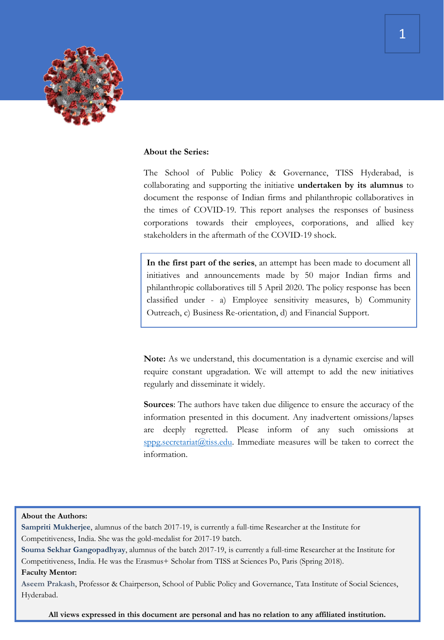

#### **About the Series:**

The School of Public Policy & Governance, TISS Hyderabad, is collaborating and supporting the initiative **undertaken by its alumnus** to document the response of Indian firms and philanthropic collaboratives in the times of COVID-19. This report analyses the responses of business corporations towards their employees, corporations, and allied key stakeholders in the aftermath of the COVID-19 shock.

**In the first part of the series**, an attempt has been made to document all initiatives and announcements made by 50 major Indian firms and philanthropic collaboratives till 5 April 2020. The policy response has been classified under - a) Employee sensitivity measures, b) Community Outreach, c) Business Re-orientation, d) and Financial Support.

**Note:** As we understand, this documentation is a dynamic exercise and will require constant upgradation. We will attempt to add the new initiatives regularly and disseminate it widely.

**Sources**: The authors have taken due diligence to ensure the accuracy of the information presented in this document. Any inadvertent omissions/lapses are deeply regretted. Please inform of any such omissions at [sppg.secretariat@tiss.edu.](mailto:sppg.secretariat@tiss.edu) Immediate measures will be taken to correct the information.

#### **About the Authors:**

**Sampriti Mukherjee**, alumnus of the batch 2017-19, is currently a full-time Researcher at the Institute for Competitiveness, India. She was the gold-medalist for 2017-19 batch.

**Souma Sekhar Gangopadhyay**, alumnus of the batch 2017-19, is currently a full-time Researcher at the Institute for Competitiveness, India. He was the Erasmus+ Scholar from TISS at Sciences Po, Paris (Spring 2018).

#### **Faculty Mentor:**

**Aseem Prakash**, Professor & Chairperson, School of Public Policy and Governance, Tata Institute of Social Sciences, Hyderabad.

**All views expressed in this document are personal and has no relation to any affiliated institution.**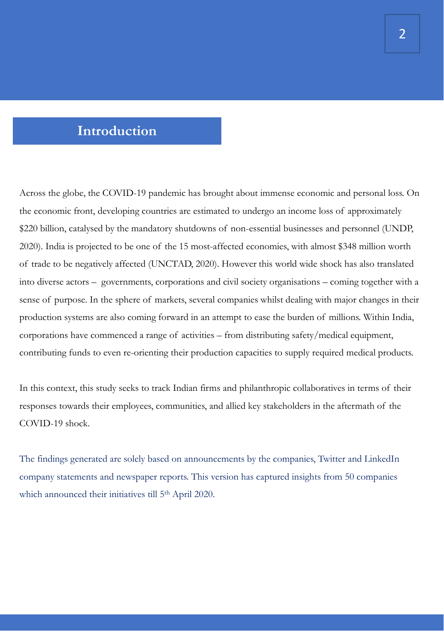#### **Introduction**

Across the globe, the COVID-19 pandemic has brought about immense economic and personal loss. On the economic front, developing countries are estimated to undergo an income loss of approximately \$220 billion, catalysed by the mandatory shutdowns of non-essential businesses and personnel (UNDP, 2020). India is projected to be one of the 15 most-affected economies, with almost \$348 million worth of trade to be negatively affected (UNCTAD, 2020). However this world wide shock has also translated into diverse actors – governments, corporations and civil society organisations – coming together with a sense of purpose. In the sphere of markets, several companies whilst dealing with major changes in their production systems are also coming forward in an attempt to ease the burden of millions. Within India, corporations have commenced a range of activities – from distributing safety/medical equipment, contributing funds to even re-orienting their production capacities to supply required medical products.

In this context, this study seeks to track Indian firms and philanthropic collaboratives in terms of their responses towards their employees, communities, and allied key stakeholders in the aftermath of the COVID-19 shock.

The findings generated are solely based on announcements by the companies, Twitter and LinkedIn company statements and newspaper reports. This version has captured insights from 50 companies which announced their initiatives till 5<sup>th</sup> April 2020.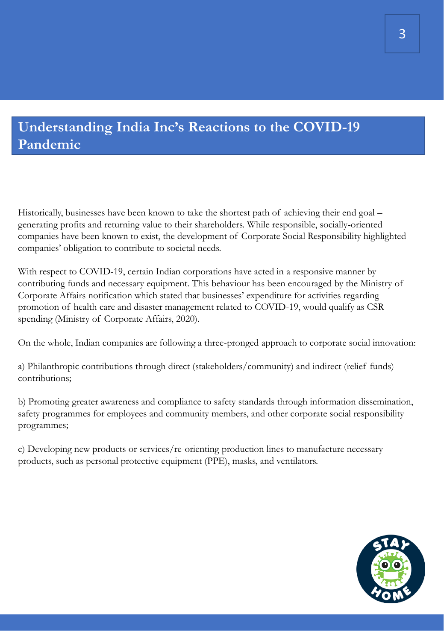### **Understanding India Inc's Reactions to the COVID-19 Pandemic**

Historically, businesses have been known to take the shortest path of achieving their end goal – generating profits and returning value to their shareholders. While responsible, socially-oriented companies have been known to exist, the development of Corporate Social Responsibility highlighted companies' obligation to contribute to societal needs.

With respect to COVID-19, certain Indian corporations have acted in a responsive manner by contributing funds and necessary equipment. This behaviour has been encouraged by the Ministry of Corporate Affairs notification which stated that businesses' expenditure for activities regarding promotion of health care and disaster management related to COVID-19, would qualify as CSR spending (Ministry of Corporate Affairs, 2020).

On the whole, Indian companies are following a three-pronged approach to corporate social innovation:

a) Philanthropic contributions through direct (stakeholders/community) and indirect (relief funds) contributions;

b) Promoting greater awareness and compliance to safety standards through information dissemination, safety programmes for employees and community members, and other corporate social responsibility programmes;

c) Developing new products or services/re-orienting production lines to manufacture necessary products, such as personal protective equipment (PPE), masks, and ventilators.

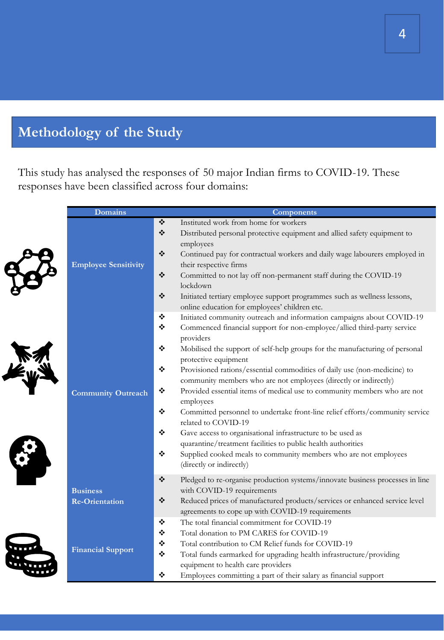# **Methodology of the Study**

This study has analysed the responses of 50 major Indian firms to COVID-19. These responses have been classified across four domains:

| <b>Domains</b>                           | <b>Components</b>                                                                                                                                                                                                                                                                                                                                                                                                                                                                                                                                                                                                                                                                                                                                                                                                                                                                          |
|------------------------------------------|--------------------------------------------------------------------------------------------------------------------------------------------------------------------------------------------------------------------------------------------------------------------------------------------------------------------------------------------------------------------------------------------------------------------------------------------------------------------------------------------------------------------------------------------------------------------------------------------------------------------------------------------------------------------------------------------------------------------------------------------------------------------------------------------------------------------------------------------------------------------------------------------|
| <b>Employee Sensitivity</b>              | ❖<br>Instituted work from home for workers<br>❖<br>Distributed personal protective equipment and allied safety equipment to<br>employees<br>❖<br>Continued pay for contractual workers and daily wage labourers employed in<br>their respective firms<br>❖<br>Committed to not lay off non-permanent staff during the COVID-19<br>lockdown<br>$\bullet^{\bullet}_{\bullet} \bullet$<br>Initiated tertiary employee support programmes such as wellness lessons,<br>online education for employees' children etc.                                                                                                                                                                                                                                                                                                                                                                           |
| <b>Community Outreach</b>                | ❖<br>Initiated community outreach and information campaigns about COVID-19<br>❖<br>Commenced financial support for non-employee/allied third-party service<br>providers<br>❖<br>Mobilised the support of self-help groups for the manufacturing of personal<br>protective equipment<br>❖<br>Provisioned rations/essential commodities of daily use (non-medicine) to<br>community members who are not employees (directly or indirectly)<br>❖<br>Provided essential items of medical use to community members who are not<br>employees<br>❖<br>Committed personnel to undertake front-line relief efforts/community service<br>related to COVID-19<br>❖<br>Gave access to organisational infrastructure to be used as<br>quarantine/treatment facilities to public health authorities<br>❖<br>Supplied cooked meals to community members who are not employees<br>(directly or indirectly) |
| <b>Business</b><br><b>Re-Orientation</b> | ❖<br>Pledged to re-organise production systems/innovate business processes in line<br>with COVID-19 requirements<br>❖<br>Reduced prices of manufactured products/services or enhanced service level<br>agreements to cope up with COVID-19 requirements                                                                                                                                                                                                                                                                                                                                                                                                                                                                                                                                                                                                                                    |
| <b>Financial Support</b>                 | The total financial commitment for COVID-19<br>❖<br>Total donation to PM CARES for COVID-19<br>❖<br>Total contribution to CM Relief funds for COVID-19<br>❖<br>❖<br>Total funds earmarked for upgrading health infrastructure/providing<br>equipment to health care providers<br>Employees committing a part of their salary as financial support<br>❖                                                                                                                                                                                                                                                                                                                                                                                                                                                                                                                                     |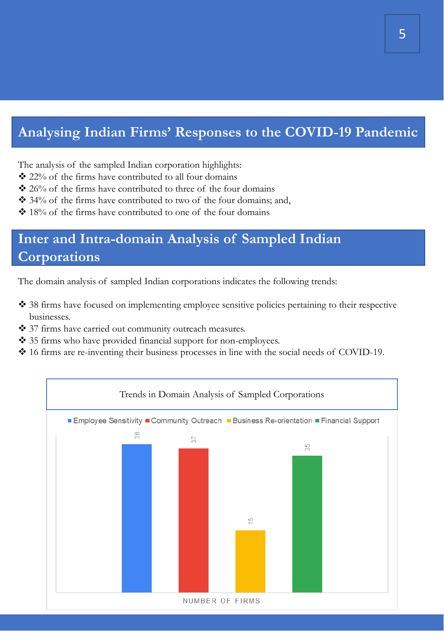### **Analysing Indian Firms' Responses to the COVID-19 Pandemic**

The analysis of the sampled Indian corporation highlights:

- ❖ 22% of the firms have contributed to all four domains
- ❖ 26% of the firms have contributed to three of the four domains
- ❖ 34% of the firms have contributed to two of the four domains; and,
- ❖ 18% of the firms have contributed to one of the four domains

## **Inter and Intra-domain Analysis of Sampled Indian Corporations**

The domain analysis of sampled Indian corporations indicates the following trends:

- ❖ 38 firms have focused on implementing employee sensitive policies pertaining to their respective businesses.
- ❖ 37 firms have carried out community outreach measures.
- ❖ 35 firms who have provided financial support for non-employees.
- ❖ 16 firms are re-inventing their business processes in line with the social needs of COVID-19.

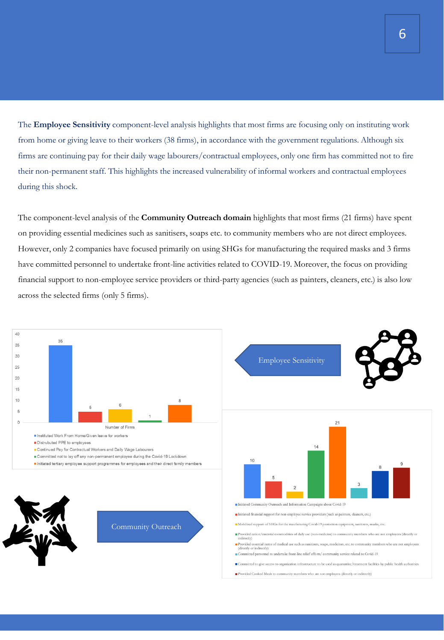The **Employee Sensitivity** component-level analysis highlights that most firms are focusing only on instituting work from home or giving leave to their workers (38 firms), in accordance with the government regulations. Although six firms are continuing pay for their daily wage labourers/contractual employees, only one firm has committed not to fire their non-permanent staff. This highlights the increased vulnerability of informal workers and contractual employees during this shock.

The component-level analysis of the **Community Outreach domain** highlights that most firms (21 firms) have spent on providing essential medicines such as sanitisers, soaps etc. to community members who are not direct employees. However, only 2 companies have focused primarily on using SHGs for manufacturing the required masks and 3 firms have committed personnel to undertake front-line activities related to COVID-19. Moreover, the focus on providing financial support to non-employee service providers or third-party agencies (such as painters, cleaners, etc.) is also low across the selected firms (only 5 firms).

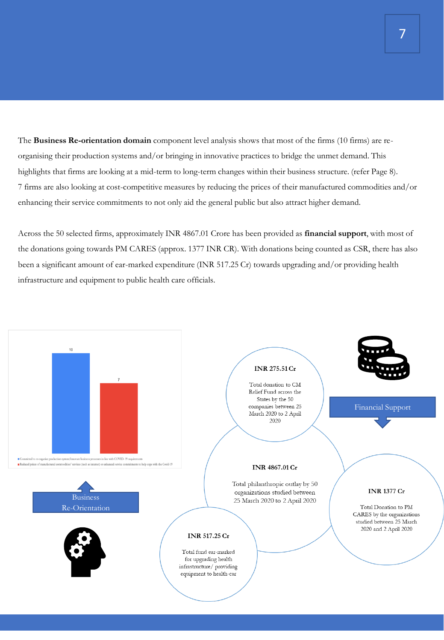The **Business Re-orientation domain** component level analysis shows that most of the firms (10 firms) are reorganising their production systems and/or bringing in innovative practices to bridge the unmet demand. This highlights that firms are looking at a mid-term to long-term changes within their business structure. (refer Page 8). 7 firms are also looking at cost-competitive measures by reducing the prices of their manufactured commodities and/or enhancing their service commitments to not only aid the general public but also attract higher demand.

Across the 50 selected firms, approximately INR 4867.01 Crore has been provided as **financial support**, with most of the donations going towards PM CARES (approx. 1377 INR CR). With donations being counted as CSR, there has also been a significant amount of ear-marked expenditure (INR 517.25 Cr) towards upgrading and/or providing health infrastructure and equipment to public health care officials.

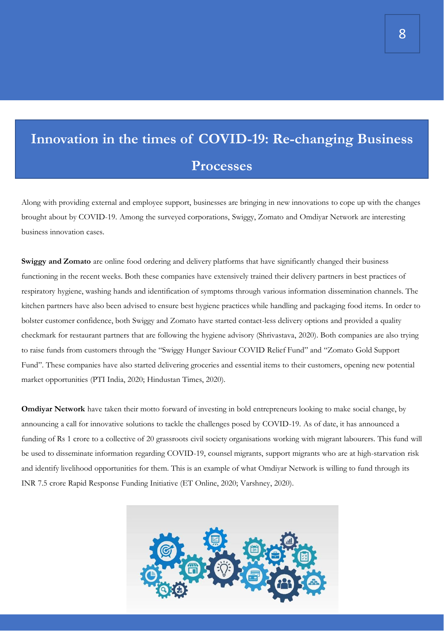# **Innovation in the times of COVID-19: Re-changing Business Processes**

Along with providing external and employee support, businesses are bringing in new innovations to cope up with the changes brought about by COVID-19. Among the surveyed corporations, Swiggy, Zomato and Omdiyar Network are interesting business innovation cases.

**Swiggy and Zomato** are online food ordering and delivery platforms that have significantly changed their business functioning in the recent weeks. Both these companies have extensively trained their delivery partners in best practices of respiratory hygiene, washing hands and identification of symptoms through various information dissemination channels. The kitchen partners have also been advised to ensure best hygiene practices while handling and packaging food items. In order to bolster customer confidence, both Swiggy and Zomato have started contact-less delivery options and provided a quality checkmark for restaurant partners that are following the hygiene advisory (Shrivastava, 2020). Both companies are also trying to raise funds from customers through the "Swiggy Hunger Saviour COVID Relief Fund" and "Zomato Gold Support Fund". These companies have also started delivering groceries and essential items to their customers, opening new potential market opportunities (PTI India, 2020; Hindustan Times, 2020).

**Omdiyar Network** have taken their motto forward of investing in bold entrepreneurs looking to make social change, by announcing a call for innovative solutions to tackle the challenges posed by COVID-19. As of date, it has announced a funding of Rs 1 crore to a collective of 20 grassroots civil society organisations working with migrant labourers. This fund will be used to disseminate information regarding COVID-19, counsel migrants, support migrants who are at high-starvation risk and identify livelihood opportunities for them. This is an example of what Omdiyar Network is willing to fund through its INR 7.5 crore Rapid Response Funding Initiative (ET Online, 2020; Varshney, 2020).

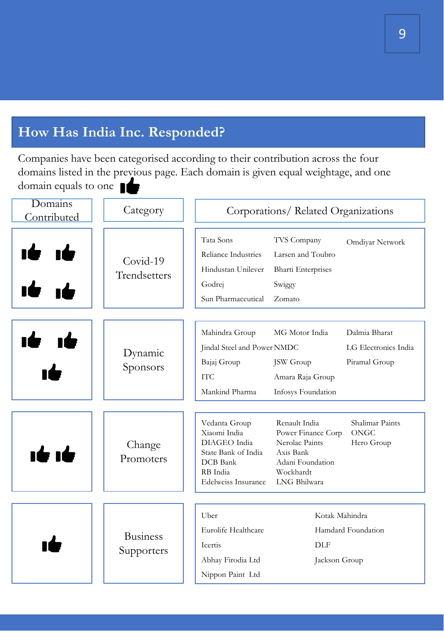### **How Has India Inc. Responded?**

Companies have been categorised according to their contribution across the four domains listed in the previous page. Each domain is given equal weightage, and one domain equals to one

| Domains<br>Contributed | Category                      | Corporations/Related Organizations                                                                                                                                                                                                                                                         |
|------------------------|-------------------------------|--------------------------------------------------------------------------------------------------------------------------------------------------------------------------------------------------------------------------------------------------------------------------------------------|
|                        | $Covid-19$<br>Trendsetters    | Tata Sons<br>TVS Company<br>Omdiyar Network<br>Reliance Industries<br>Larsen and Toubro<br>Hindustan Unilever<br><b>Bharti Enterprises</b><br>Godrej<br>Swiggy<br>Sun Pharmaceutical<br>Zomato                                                                                             |
|                        | Dynamic<br>Sponsors           | Mahindra Group<br>MG Motor India<br>Dalmia Bharat<br>LG Electronics India<br>Jindal Steel and Power NMDC<br>Bajaj Group<br><b>JSW</b> Group<br>Piramal Group<br><b>ITC</b><br>Amara Raja Group<br>Mankind Pharma<br>Infosys Foundation                                                     |
| <b>16 16</b>           | Change<br>Promoters           | Vedanta Group<br>Renault India<br>Shalimar Paints<br><b>ONGC</b><br>Xiaomi India<br>Power Finance Corp<br>DIAGEO India<br>Nerolac Paints<br>Hero Group<br>State Bank of India<br>Axis Bank<br>DCB Bank<br>Adani Foundation<br>RB India<br>Wockhardt<br>LNG Bhilwara<br>Edelweiss Insurance |
|                        | <b>Business</b><br>Supporters | Uber<br>Kotak Mahindra<br>Eurolife Healthcare<br>Hamdard Foundation<br>Icertis<br><b>DLF</b><br>Abhay Firodia Ltd<br>Jackson Group<br>Nippon Paint Ltd                                                                                                                                     |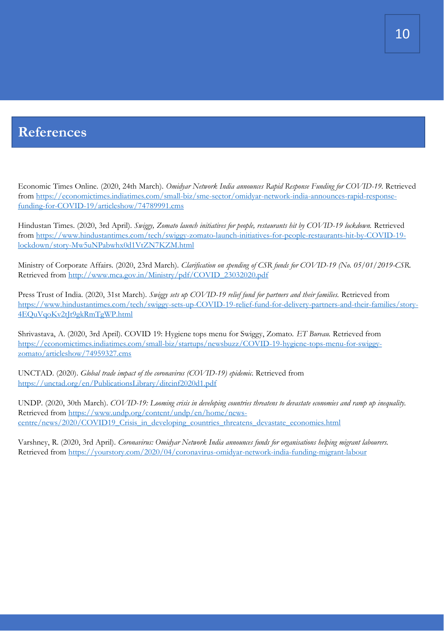#### **References**

Economic Times Online. (2020, 24th March). *Omidyar Network India announces Rapid Response Funding for COVID-19.* Retrieved [from https://economictimes.indiatimes.com/small-biz/sme-sector/omidyar-network-india-announces-rapid-response](https://economictimes.indiatimes.com/small-biz/sme-sector/omidyar-network-india-announces-rapid-response-funding-for-COVID-19/articleshow/74789991.cms)funding-for-COVID-19/articleshow/74789991.cms

Hindustan Times. (2020, 3rd April). *Swiggy, Zomato launch initiatives for people, restaurants hit by COVID-19 lockdown.* Retrieved [from https://www.hindustantimes.com/tech/swiggy-zomato-launch-initiatives-for-people-restaurants-hit-by-COVID-19](https://www.hindustantimes.com/tech/swiggy-zomato-launch-initiatives-for-people-restaurants-hit-by-COVID-19-lockdown/story-Mw5uNPabwhx0d1VtZN7KZM.html) lockdown/story-Mw5uNPabwhx0d1VtZN7KZM.html

Ministry of Corporate Affairs. (2020, 23rd March). *Clarification on spending of CSR funds for COVID-19 (No. 05/01/2019-CSR.*  Retrieved from [http://www.mca.gov.in/Ministry/pdf/COVID\\_23032020.pdf](http://www.mca.gov.in/Ministry/pdf/Covid_23032020.pdf)

Press Trust of India. (2020, 31st March). *Swiggy sets up COVID-19 relief fund for partners and their families.* Retrieved from [https://www.hindustantimes.com/tech/swiggy-sets-up-COVID-19-relief-fund-for-delivery-partners-and-their-families/story-](https://www.hindustantimes.com/tech/swiggy-sets-up-COVID-19-relief-fund-for-delivery-partners-and-their-families/story-4EQuVqoKv2tJt9gkRmTgWP.html)4EQuVqoKv2tJt9gkRmTgWP.html

Shrivastava, A. (2020, 3rd April). COVID 19: Hygiene tops menu for Swiggy, Zomato. *ET Bureau.* Retrieved from [https://economictimes.indiatimes.com/small-biz/startups/newsbuzz/COVID-19-hygiene-tops-menu-for-swiggy](https://economictimes.indiatimes.com/small-biz/startups/newsbuzz/COVID-19-hygiene-tops-menu-for-swiggy-zomato/articleshow/74959327.cms)zomato/articleshow/74959327.cms

UNCTAD. (2020). *Global trade impact of the coronavirus (COVID-19) epidemic*. Retrieved from <https://unctad.org/en/PublicationsLibrary/ditcinf2020d1.pdf>

UNDP. (2020, 30th March). *COVID-19: Looming crisis in developing countries threatens to devastate economies and ramp up inequality.*  Retrieved from https://www.undp.org/content/undp/en/home/news[centre/news/2020/COVID19\\_Crisis\\_in\\_developing\\_countries\\_threatens\\_devastate\\_economies.html](https://www.undp.org/content/undp/en/home/news-centre/news/2020/COVID19_Crisis_in_developing_countries_threatens_devastate_economies.html)

Varshney, R. (2020, 3rd April). *Coronavirus: Omidyar Network India announces funds for organisations helping migrant labourers.* Retrieved from<https://yourstory.com/2020/04/coronavirus-omidyar-network-india-funding-migrant-labour>